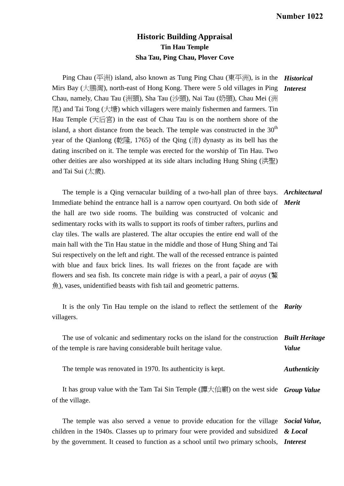## **Historic Building Appraisal Tin Hau Temple Sha Tau, Ping Chau, Plover Cove**

Ping Chau (平洲) island, also known as Tung Ping Chau (東平洲), is in the *Historical*  Mirs Bay (大鵬灣), north-east of Hong Kong. There were 5 old villages in Ping *Interest*  Chau, namely, Chau Tau (洲頭), Sha Tau (沙頭), Nai Tau (奶頭), Chau Mei (洲 尾) and Tai Tong (大塘) which villagers were mainly fishermen and farmers. Tin Hau Temple (天后宮) in the east of Chau Tau is on the northern shore of the island, a short distance from the beach. The temple was constructed in the  $30<sup>th</sup>$ year of the Qianlong (乾隆, 1765) of the Qing (清) dynasty as its bell has the dating inscribed on it. The temple was erected for the worship of Tin Hau. Two other deities are also worshipped at its side altars including Hung Shing (洪聖) and Tai Sui (太歲).

 The temple is a Qing vernacular building of a two-hall plan of three bays. *Architectural*  Immediate behind the entrance hall is a narrow open courtyard. On both side of *Merit*  the hall are two side rooms. The building was constructed of volcanic and sedimentary rocks with its walls to support its roofs of timber rafters, purlins and clay tiles. The walls are plastered. The altar occupies the entire end wall of the main hall with the Tin Hau statue in the middle and those of Hung Shing and Tai Sui respectively on the left and right. The wall of the recessed entrance is painted with blue and faux brick lines. Its wall friezes on the front façade are with flowers and sea fish. Its concrete main ridge is with a pearl, a pair of *aoyus* (鰲 魚), vases, unidentified beasts with fish tail and geometric patterns.

 It is the only Tin Hau temple on the island to reflect the settlement of the *Rarity*  villagers.

 The use of volcanic and sedimentary rocks on the island for the construction *Built Heritage*  of the temple is rare having considerable built heritage value. *Value* 

 The temple was renovated in 1970. Its authenticity is kept. *Authenticity* 

It has group value with the Tam Tai Sin Temple (譚大仙廟) on the west side *Group Value* of the village.

 The temple was also served a venue to provide education for the village *Social Value,*  children in the 1940s. Classes up to primary four were provided and subsidized by the government. It ceased to function as a school until two primary schools, *Interest & Local*